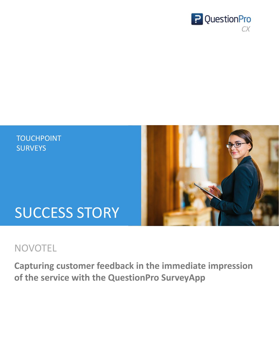# SUCCESS STORY

## TOUCHPOINT **SURVEYS**



## NOVOTEL



# **Capturing customer feedback in the immediate impression of the service with the QuestionPro SurveyApp**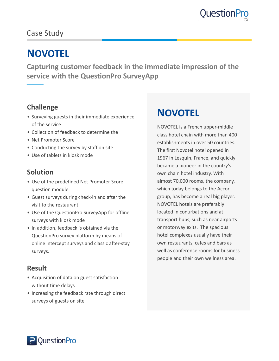



NOVOTEL is a French upper-middle class hotel chain with more than 400 establishments in over 50 countries. The first Novotel hotel opened in 1967 in Lesquin, France, and quickly became a pioneer in the country's own chain hotel industry. With almost 70,000 rooms, the company, which today belongs to the Accor group, has become a real big player. NOVOTEL hotels are preferably located in conurbations and at transport hubs, such as near airports or motorway exits. The spacious hotel complexes usually have their own restaurants, cafes and bars as well as conference rooms for business people and their own wellness area.

**Capturing customer feedback in the immediate impression of the service with the QuestionPro SurveyApp**

## **NOVOTEL**

### **Challenge**

- Surveying guests in their immediate experience of the service
- Collection of feedback to determine the
- Net Promoter Score
- Conducting the survey by staff on site
- Use of tablets in kiosk mode

#### **Solution**

- Use of the predefined Net Promoter Score question module
- Guest surveys during check-in and after the visit to the restaurant

- Use of the QuestionPro SurveyApp for offline surveys with kiosk mode
- In addition, feedback is obtained via the QuestionPro survey platform by means of online intercept surveys and classic after-stay surveys.

#### **Result**

- Acquisition of data on guest satisfaction without time delays
- Increasing the feedback rate through direct

#### surveys of guests on site



# **NOVOTEL**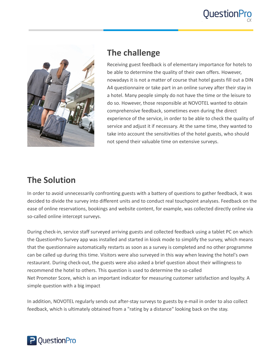



## **The challenge**

Receiving guest feedback is of elementary importance for hotels to be able to determine the quality of their own offers. However, nowadays it is not a matter of course that hotel guests fill out a DIN A4 questionnaire or take part in an online survey after their stay in a hotel. Many people simply do not have the time or the leisure to

do so. However, those responsible at NOVOTEL wanted to obtain comprehensive feedback, sometimes even during the direct experience of the service, in order to be able to check the quality of service and adjust it if necessary. At the same time, they wanted to take into account the sensitivities of the hotel guests, who should not spend their valuable time on extensive surveys.

## **The Solution**

In order to avoid unnecessarily confronting guests with a battery of questions to gather feedback, it was

decided to divide the survey into different units and to conduct real touchpoint analyses. Feedback on the ease of online reservations, bookings and website content, for example, was collected directly online via so-called online intercept surveys.

During check-in, service staff surveyed arriving guests and collected feedback using a tablet PC on which the QuestionPro Survey app was installed and started in kiosk mode to simplify the survey, which means that the questionnaire automatically restarts as soon as a survey is completed and no other programme can be called up during this time. Visitors were also surveyed in this way when leaving the hotel's own restaurant. During check-out, the guests were also asked a brief question about their willingness to recommend the hotel to others. This question is used to determine the so-called Net Promoter Score, which is an important indicator for measuring customer satisfaction and loyalty. A simple question with a big impact

In addition, NOVOTEL regularly sends out after-stay surveys to guests by e-mail in order to also collect

feedback, which is ultimately obtained from a "rating by a distance" looking back on the stay.